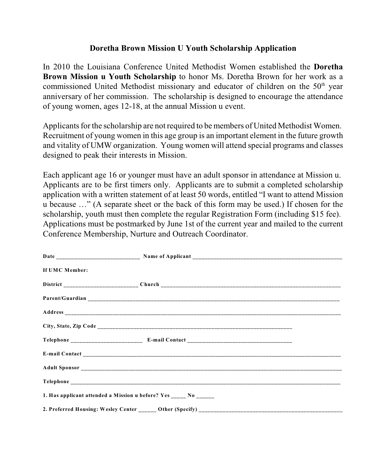## **Doretha Brown Mission U Youth Scholarship Application**

In 2010 the Louisiana Conference United Methodist Women established the **Doretha Brown Mission u Youth Scholarship** to honor Ms. Doretha Brown for her work as a commissioned United Methodist missionary and educator of children on the  $50<sup>th</sup>$  year anniversary of her commission. The scholarship is designed to encourage the attendance of young women, ages 12-18, at the annual Mission u event.

Applicants for the scholarship are not required to be members of United Methodist Women. Recruitment of young women in this age group is an important element in the future growth and vitality of UMW organization. Young women will attend special programs and classes designed to peak their interests in Mission.

Each applicant age 16 or younger must have an adult sponsor in attendance at Mission u. Applicants are to be first timers only. Applicants are to submit a completed scholarship application with a written statement of at least 50 words, entitled "I want to attend Mission u because …" (A separate sheet or the back of this form may be used.) If chosen for the scholarship, youth must then complete the regular Registration Form (including \$15 fee). Applications must be postmarked by June 1st of the current year and mailed to the current Conference Membership, Nurture and Outreach Coordinator.

| If UMC Member: |                                                                  |  |
|----------------|------------------------------------------------------------------|--|
|                |                                                                  |  |
|                |                                                                  |  |
|                |                                                                  |  |
|                |                                                                  |  |
|                |                                                                  |  |
|                |                                                                  |  |
|                |                                                                  |  |
|                |                                                                  |  |
|                | 1. Has applicant attended a Mission u before? Yes _____ No _____ |  |
|                |                                                                  |  |